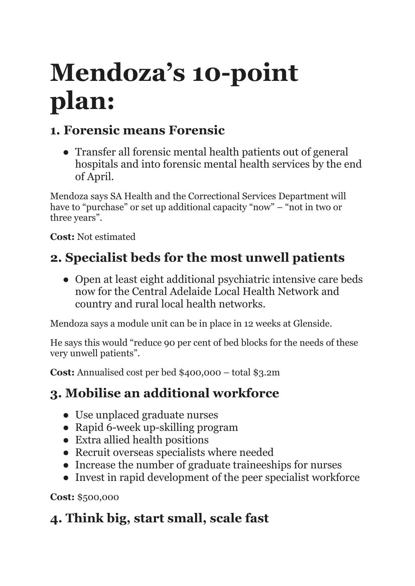# **Mendoza's 10-point plan:**

# **1. Forensic means Forensic**

● Transfer all forensic mental health patients out of general hospitals and into forensic mental health services by the end of April.

Mendoza says SA Health and the Correctional Services Department will have to "purchase" or set up additional capacity "now" – "not in two or three years".

**Cost:** Not estimated

# **2. Specialist beds for the most unwell patients**

● Open at least eight additional psychiatric intensive care beds now for the Central Adelaide Local Health Network and country and rural local health networks.

Mendoza says a module unit can be in place in 12 weeks at Glenside.

He says this would "reduce 90 per cent of bed blocks for the needs of these very unwell patients".

**Cost:** Annualised cost per bed \$400,000 – total \$3.2m

#### **3. Mobilise an additional workforce**

- Use unplaced graduate nurses
- Rapid 6-week up-skilling program
- Extra allied health positions
- Recruit overseas specialists where needed
- Increase the number of graduate traineeships for nurses
- Invest in rapid development of the peer specialist workforce

**Cost:** \$500,000

# **4. Think big, start small, scale fast**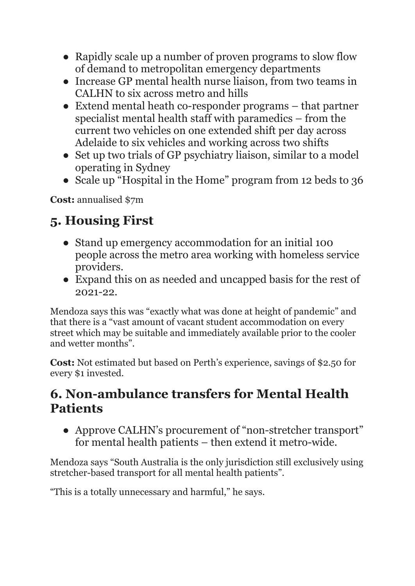- Rapidly scale up a number of proven programs to slow flow of demand to metropolitan emergency departments
- Increase GP mental health nurse liaison, from two teams in CALHN to six across metro and hills
- Extend mental heath co-responder programs that partner specialist mental health staff with paramedics – from the current two vehicles on one extended shift per day across Adelaide to six vehicles and working across two shifts
- Set up two trials of GP psychiatry liaison, similar to a model operating in Sydney
- Scale up "Hospital in the Home" program from 12 beds to 36

**Cost:** annualised \$7m

### **5. Housing First**

- Stand up emergency accommodation for an initial 100 people across the metro area working with homeless service providers.
- Expand this on as needed and uncapped basis for the rest of 2021-22.

Mendoza says this was "exactly what was done at height of pandemic" and that there is a "vast amount of vacant student accommodation on every street which may be suitable and immediately available prior to the cooler and wetter months".

**Cost:** Not estimated but based on Perth's experience, savings of \$2.50 for every \$1 invested.

#### **6. Non-ambulance transfers for Mental Health Patients**

● Approve CALHN's procurement of "non-stretcher transport" for mental health patients – then extend it metro-wide.

Mendoza says "South Australia is the only jurisdiction still exclusively using stretcher-based transport for all mental health patients".

"This is a totally unnecessary and harmful," he says.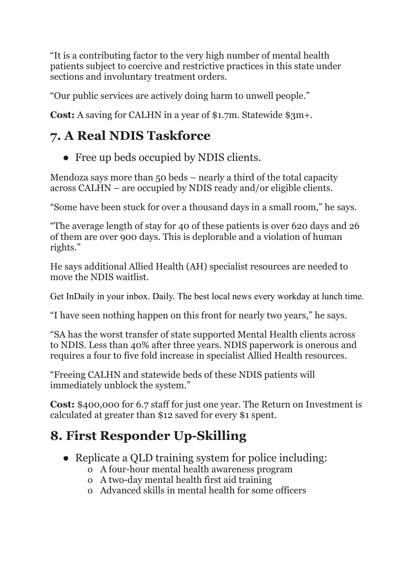"It is a contributing factor to the very high number of mental health patients subject to coercive and restrictive practices in this state under sections and involuntary treatment orders.

"Our public services are actively doing harm to unwell people."

**Cost:** A saving for CALHN in a year of \$1.7m. Statewide \$3m+.

#### **7. A Real NDIS Taskforce**

• Free up beds occupied by NDIS clients.

Mendoza says more than 50 beds – nearly a third of the total capacity across CALHN – are occupied by NDIS ready and/or eligible clients.

"Some have been stuck for over a thousand days in a small room," he says.

"The average length of stay for 40 of these patients is over 620 days and 26 of them are over 900 days. This is deplorable and a violation of human rights."

He says additional Allied Health (AH) specialist resources are needed to move the NDIS waitlist.

Get InDaily in your inbox. Daily. The best local news every workday at lunch time.

"I have seen nothing happen on this front for nearly two years," he says.

"SA has the worst transfer of state supported Mental Health clients across to NDIS. Less than 40% after three years. NDIS paperwork is onerous and requires a four to five fold increase in specialist Allied Health resources.

"Freeing CALHN and statewide beds of these NDIS patients will immediately unblock the system."

**Cost:** \$400,000 for 6.7 staff for just one year. The Return on Investment is calculated at greater than \$12 saved for every \$1 spent.

## **8. First Responder Up-Skilling**

- Replicate a QLD training system for police including:
	- o A four-hour mental health awareness program
	- o A two-day mental health first aid training
	- o Advanced skills in mental health for some officers